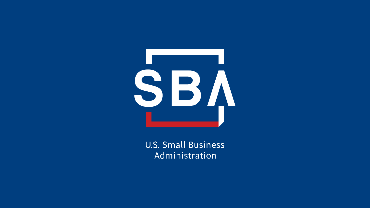

**U.S. Small Business** Administration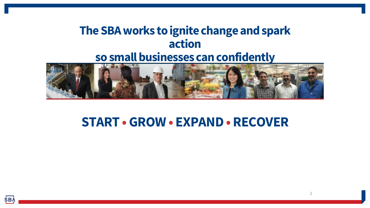### **The SBA works to ignite change and spark action so small businesses can confidently**



### **START •GROW • EXPAND • RECOVER**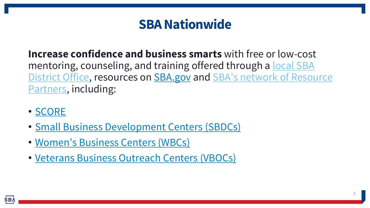### **SBA Nationwide**

**Increase confidence and business smarts** with free or low-cost [mentoring, counseling, and training offered through a local SBA](https://www.sba.gov/local-assistance)  District Office, resources on **SBA.gov** and **SBA's network of Resource** Partners, including:

- [SCORE](https://www.score.org/)
- [Small Business Development Centers \(SBDCs\)](https://americassbdc.org/)
- [Women's Business Centers \(WBCs\)](https://www.sba.gov/local-assistance/find/?type=Women%27s%20Business%20Center&pageNumber=1)
- [Veterans Business Outreach Centers \(VBOCs\)](https://www.sba.gov/local-assistance/find/?type=Veteran%27s%20Business%20Outreach%20Center&pageNumber=1)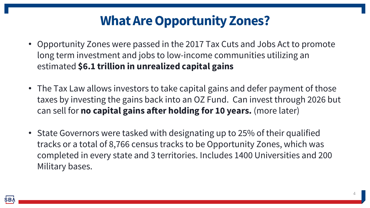### **What Are Opportunity Zones?**

- Opportunity Zones were passed in the 2017 Tax Cuts and Jobs Act to promote long term investment and jobs to low-income communities utilizing an estimated **\$6.1 trillion in unrealized capital gains**
- The Tax Law allows investors to take capital gains and defer payment of those taxes by investing the gains back into an OZ Fund. Can invest through 2026 but can sell for **no capital gains after holding for 10 years.** (more later)
- State Governors were tasked with designating up to 25% of their qualified tracks or a total of 8,766 census tracks to be Opportunity Zones, which was completed in every state and 3 territories. Includes 1400 Universities and 200 Military bases.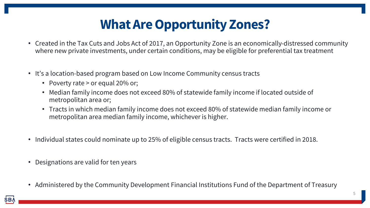### **What Are Opportunity Zones?**

- Created in the Tax Cuts and Jobs Act of 2017, an Opportunity Zone is an economically-distressed community where new private investments, under certain conditions, may be eligible for preferential tax treatment
- It's a location-based program based on Low Income Community census tracts
	- Poverty rate > or equal 20% or;
	- Median family income does not exceed 80% of statewide family income if located outside of metropolitan area or;
	- Tracts in which median family income does not exceed 80% of statewide median family income or metropolitan area median family income, whichever is higher.
- Individual states could nominate up to 25% of eligible census tracts. Tracts were certified in 2018.
- Designations are valid for ten years
- Administered by the Community Development Financial Institutions Fund of the Department of Treasury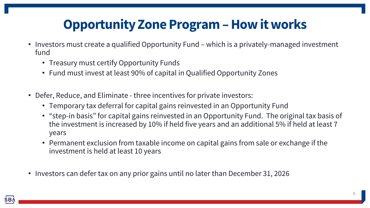### **Opportunity Zone Program –How it works**

- Investors must create a qualified Opportunity Fund which is a privately-managed investment fund
	- Treasury must certify Opportunity Funds
	- Fund must invest at least 90% of capital in Qualified Opportunity Zones
- Defer, Reduce, and Eliminate three incentives for private investors:
	- Temporary tax deferral for capital gains reinvested in an Opportunity Fund
	- "step-in basis" for capital gains reinvested in an Opportunity Fund. The original tax basis of the investment is increased by 10% if held five years and an additional 5% if held at least 7 years
	- Permanent exclusion from taxable income on capital gains from sale or exchange if the investment is held at least 10 years
- Investors can defer tax on any prior gains until no later than December 31, 2026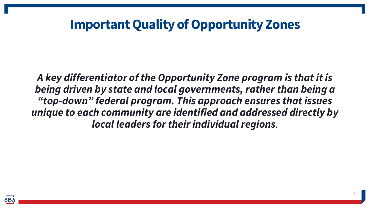### **Important Quality of Opportunity Zones**

*A key differentiator of the Opportunity Zone program is that it is being driven by state and local governments, rather than being a "top-down" federal program. This approach ensures that issues unique to each community are identified and addressed directly by local leaders for their individual regions.*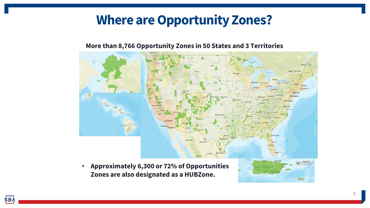### **Where are Opportunity Zones?**

#### **More than 8,766 Opportunity Zones in 50 States and 3 Territories**



**Zones are also designated as a HUBZone.**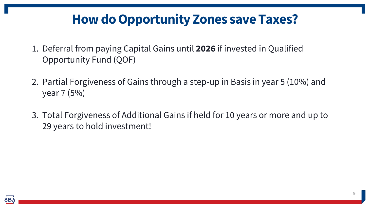### **How do Opportunity Zones save Taxes?**

- 1. Deferral from paying Capital Gains until **2026** if invested in Qualified Opportunity Fund (QOF)
- 2. Partial Forgiveness of Gains through a step-up in Basis in year 5 (10%) and year 7 (5%)
- 3. Total Forgiveness of Additional Gains if held for 10 years or more and up to 29 years to hold investment!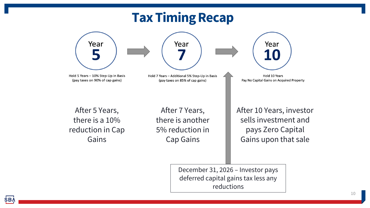# **Tax Timing Recap**

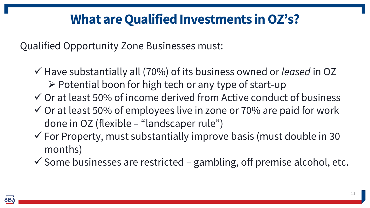### **What are Qualified Investments in OZ's?**

Qualified Opportunity Zone Businesses must:

- ✓ Have substantially all (70%) of its business owned or *leased* in OZ
	- ➢ Potential boon for high tech or any type of start-up
- $\checkmark$  Or at least 50% of income derived from Active conduct of business
- $\checkmark$  Or at least 50% of employees live in zone or 70% are paid for work done in OZ (flexible – "landscaper rule")
- $\checkmark$  For Property, must substantially improve basis (must double in 30 months)
- $\checkmark$  Some businesses are restricted gambling, off premise alcohol, etc.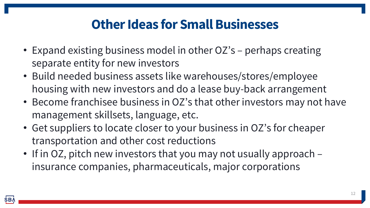### **Other Ideas for Small Businesses**

- Expand existing business model in other OZ's perhaps creating separate entity for new investors
- Build needed business assets like warehouses/stores/employee housing with new investors and do a lease buy-back arrangement
- Become franchisee business in OZ's that other investors may not have management skillsets, language, etc.
- Get suppliers to locate closer to your business in OZ's for cheaper transportation and other cost reductions
- If in OZ, pitch new investors that you may not usually approach insurance companies, pharmaceuticals, major corporations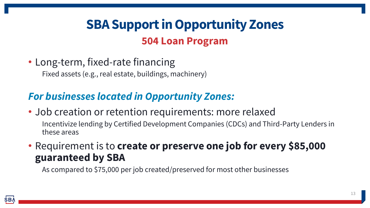# **SBA Support in Opportunity Zones 504 Loan Program**

• Long-term, fixed-rate financing

Fixed assets (e.g., real estate, buildings, machinery)

#### *For businesses located in Opportunity Zones:*

- Job creation or retention requirements: more relaxed Incentivize lending by Certified Development Companies (CDCs) and Third-Party Lenders in these areas
- Requirement is to **create or preserve one job for every \$85,000 guaranteed by SBA**

As compared to \$75,000 per job created/preserved for most other businesses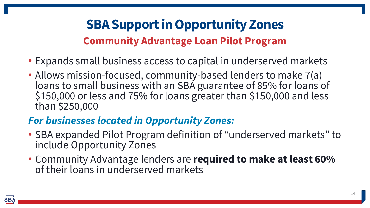# **SBA Support in Opportunity Zones Community Advantage Loan Pilot Program**

- Expands small business access to capital in underserved markets
- Allows mission-focused, community-based lenders to make 7(a) loans to small business with an SBA guarantee of 85% for loans of \$150,000 or less and 75% for loans greater than \$150,000 and less than \$250,000

#### *For businesses located in Opportunity Zones:*

- SBA expanded Pilot Program definition of "underserved markets" to include Opportunity Zones
- Community Advantage lenders are **required to make at least 60%**  of their loans in underserved markets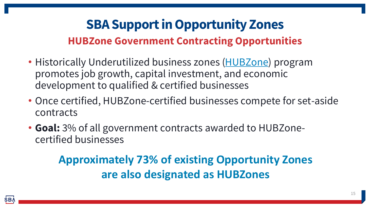### **SBA Support in Opportunity Zones HUBZone Government Contracting Opportunities**

- Historically Underutilized business zones [\(HUBZone](https://www.sba.gov/federal-contracting/contracting-assistance-programs/hubzone-program)) program promotes job growth, capital investment, and economic development to qualified & certified businesses
- Once certified, HUBZone-certified businesses compete for set-aside contracts
- **Goal:** 3% of all government contracts awarded to HUBZonecertified businesses

### **Approximately 73% of existing Opportunity Zones are also designated as HUBZones**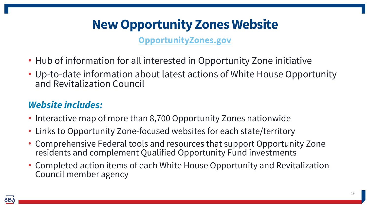# **New Opportunity Zones Website**

**[OpportunityZones.gov](https://opportunityzones.hud.gov/)**

- Hub of information for all interested in Opportunity Zone initiative
- Up-to-date information about latest actions of White House Opportunity and Revitalization Council

#### *Website includes:*

- Interactive map of more than 8,700 Opportunity Zones nationwide
- Links to Opportunity Zone-focused websites for each state/territory
- Comprehensive Federal tools and resources that support Opportunity Zone residents and complement Qualified Opportunity Fund investments
- Completed action items of each White House Opportunity and Revitalization Council member agency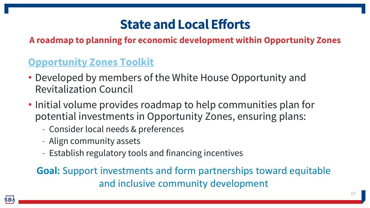### **State and Local Efforts**

**A roadmap to planning for economic development within Opportunity Zones**

#### **[Opportunity Zones Toolkit](https://opportunityzones.hud.gov/sites/opportunityzones.hud.gov/files/documents/Opportunity_Zones_Toolkit_Roadmap_FINAL_Edited_092319.pdf)**

- Developed by members of the White House Opportunity and Revitalization Council
- Initial volume provides roadmap to help communities plan for potential investments in Opportunity Zones, ensuring plans:
	- Consider local needs & preferences
	- Align community assets
	- Establish regulatory tools and financing incentives

**Goal:** Support investments and form partnerships toward equitable and inclusive community development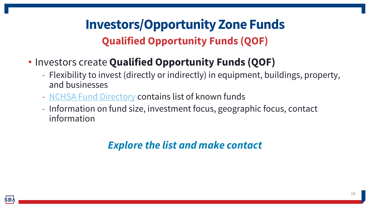# **Investors/Opportunity Zone Funds Qualified Opportunity Funds (QOF)**

- Investors create **Qualified Opportunity Funds (QOF)**
	- Flexibility to invest (directly or indirectly) in equipment, buildings, property, and businesses
	- [NCHSA Fund Directory](https://www.ncsha.org/resource/opportunity-zone-fund-directory/) contains list of known funds
	- Information on fund size, investment focus, geographic focus, contact information

### *Explore the list and make contact*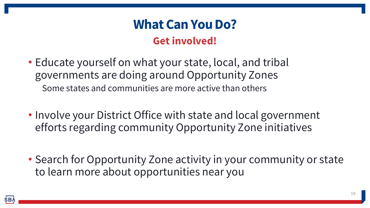### **What Can You Do? Get involved!**

- Educate yourself on what your state, local, and tribal governments are doing around Opportunity Zones Some states and communities are more active than others
- Involve your District Office with state and local government efforts regarding community Opportunity Zone initiatives
- Search for Opportunity Zone activity in your community or state to learn more about opportunities near you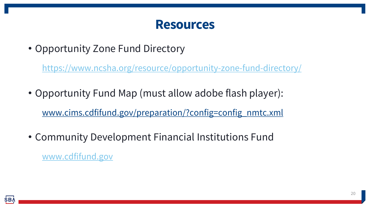### **Resources**

• Opportunity Zone Fund Directory

<https://www.ncsha.org/resource/opportunity-zone-fund-directory/>

- Opportunity Fund Map (must allow adobe flash player): www.cims.cdfifund.gov/preparation/?config=config\_nmtc.xml
- Community Development Financial Institutions Fund [www.cdfifund.gov](http://www.cdfifund.gov/)